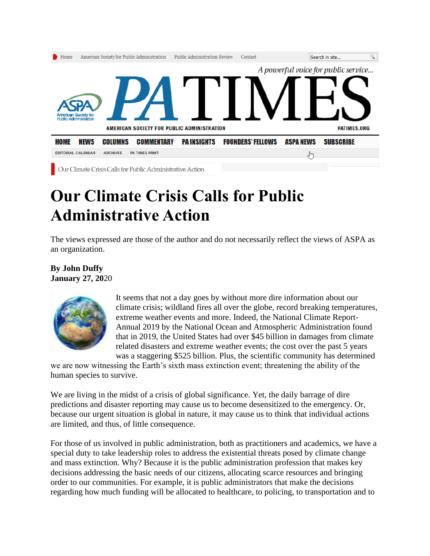

Our Climate Crisis Calls for Public Administrative Action

## **Our Climate Crisis Calls for Public Administrative Action**

The views expressed are those of the author and do not necessarily reflect the views of ASPA as an organization.

**By John Duffy January 27, 20**20



It seems that not a day goes by without more dire information about our climate crisis; wildland fires all over the globe, record breaking temperatures, extreme weather events and more. Indeed, the National Climate Report-Annual 2019 by the National Ocean and Atmospheric Administration found that in 2019, the United States had over \$45 billion in damages from climate related disasters and extreme weather events; the cost over the past 5 years was a staggering \$525 billion. Plus, the scientific community has determined

we are now witnessing the Earth's sixth mass extinction event; threatening the ability of the human species to survive.

We are living in the midst of a crisis of global significance. Yet, the daily barrage of dire predictions and disaster reporting may cause us to become desensitized to the emergency. Or, because our urgent situation is global in nature, it may cause us to think that individual actions are limited, and thus, of little consequence.

For those of us involved in public administration, both as practitioners and academics, we have a special duty to take leadership roles to address the existential threats posed by climate change and mass extinction. Why? Because it is the public administration profession that makes key decisions addressing the basic needs of our citizens, allocating scarce resources and bringing order to our communities. For example, it is public administrators that make the decisions regarding how much funding will be allocated to healthcare, to policing, to transportation and to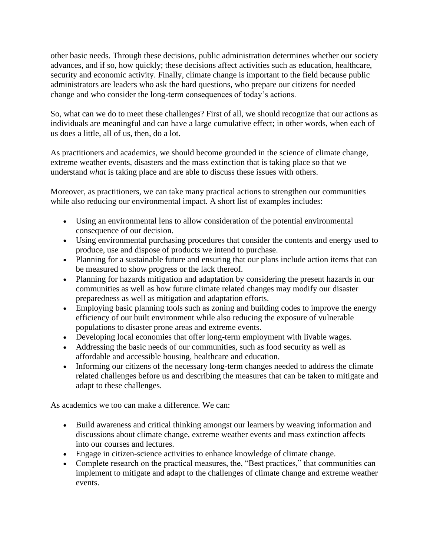other basic needs. Through these decisions, public administration determines whether our society advances, and if so, how quickly; these decisions affect activities such as education, healthcare, security and economic activity. Finally, climate change is important to the field because public administrators are leaders who ask the hard questions, who prepare our citizens for needed change and who consider the long-term consequences of today's actions.

So, what can we do to meet these challenges? First of all, we should recognize that our actions as individuals are meaningful and can have a large cumulative effect; in other words, when each of us does a little, all of us, then, do a lot.

As practitioners and academics, we should become grounded in the science of climate change, extreme weather events, disasters and the mass extinction that is taking place so that we understand *what* is taking place and are able to discuss these issues with others.

Moreover, as practitioners, we can take many practical actions to strengthen our communities while also reducing our environmental impact. A short list of examples includes:

- Using an environmental lens to allow consideration of the potential environmental consequence of our decision.
- Using environmental purchasing procedures that consider the contents and energy used to produce, use and dispose of products we intend to purchase.
- Planning for a sustainable future and ensuring that our plans include action items that can be measured to show progress or the lack thereof.
- Planning for hazards mitigation and adaptation by considering the present hazards in our communities as well as how future climate related changes may modify our disaster preparedness as well as mitigation and adaptation efforts.
- Employing basic planning tools such as zoning and building codes to improve the energy efficiency of our built environment while also reducing the exposure of vulnerable populations to disaster prone areas and extreme events.
- Developing local economies that offer long-term employment with livable wages.
- Addressing the basic needs of our communities, such as food security as well as affordable and accessible housing, healthcare and education.
- Informing our citizens of the necessary long-term changes needed to address the climate related challenges before us and describing the measures that can be taken to mitigate and adapt to these challenges.

As academics we too can make a difference. We can:

- Build awareness and critical thinking amongst our learners by weaving information and discussions about climate change, extreme weather events and mass extinction affects into our courses and lectures.
- Engage in citizen-science activities to enhance knowledge of climate change.
- Complete research on the practical measures, the, "Best practices," that communities can implement to mitigate and adapt to the challenges of climate change and extreme weather events.